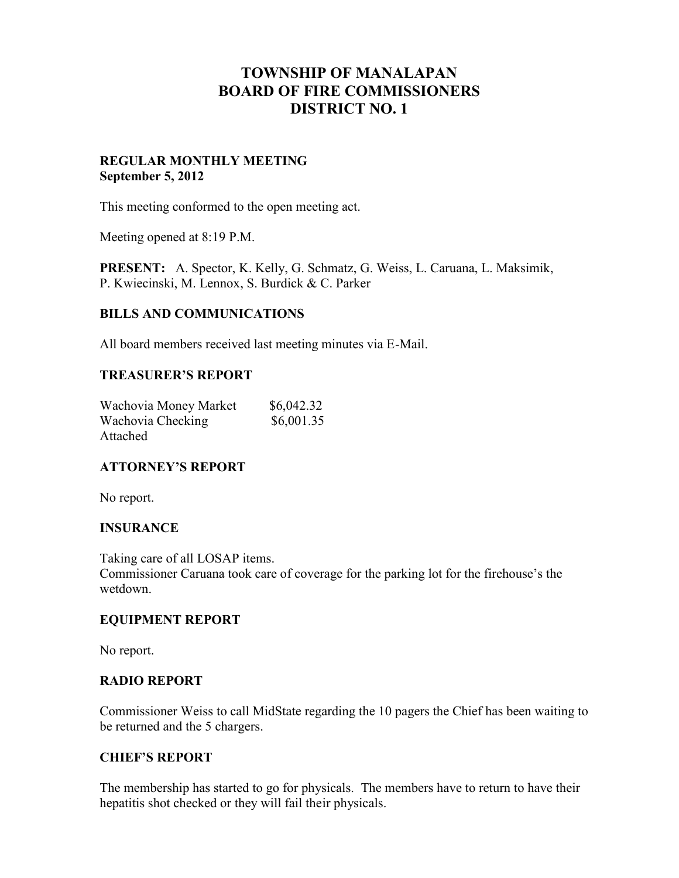# **TOWNSHIP OF MANALAPAN BOARD OF FIRE COMMISSIONERS DISTRICT NO. 1**

# **REGULAR MONTHLY MEETING September 5, 2012**

This meeting conformed to the open meeting act.

Meeting opened at 8:19 P.M.

**PRESENT:** A. Spector, K. Kelly, G. Schmatz, G. Weiss, L. Caruana, L. Maksimik, P. Kwiecinski, M. Lennox, S. Burdick & C. Parker

#### **BILLS AND COMMUNICATIONS**

All board members received last meeting minutes via E-Mail.

#### **TREASURER'S REPORT**

| Wachovia Money Market | \$6,042.32 |  |
|-----------------------|------------|--|
| Wachovia Checking     | \$6,001.35 |  |
| Attached              |            |  |

#### **ATTORNEY'S REPORT**

No report.

#### **INSURANCE**

Taking care of all LOSAP items. Commissioner Caruana took care of coverage for the parking lot for the firehouse's the wetdown.

#### **EQUIPMENT REPORT**

No report.

#### **RADIO REPORT**

Commissioner Weiss to call MidState regarding the 10 pagers the Chief has been waiting to be returned and the 5 chargers.

# **CHIEF'S REPORT**

The membership has started to go for physicals. The members have to return to have their hepatitis shot checked or they will fail their physicals.